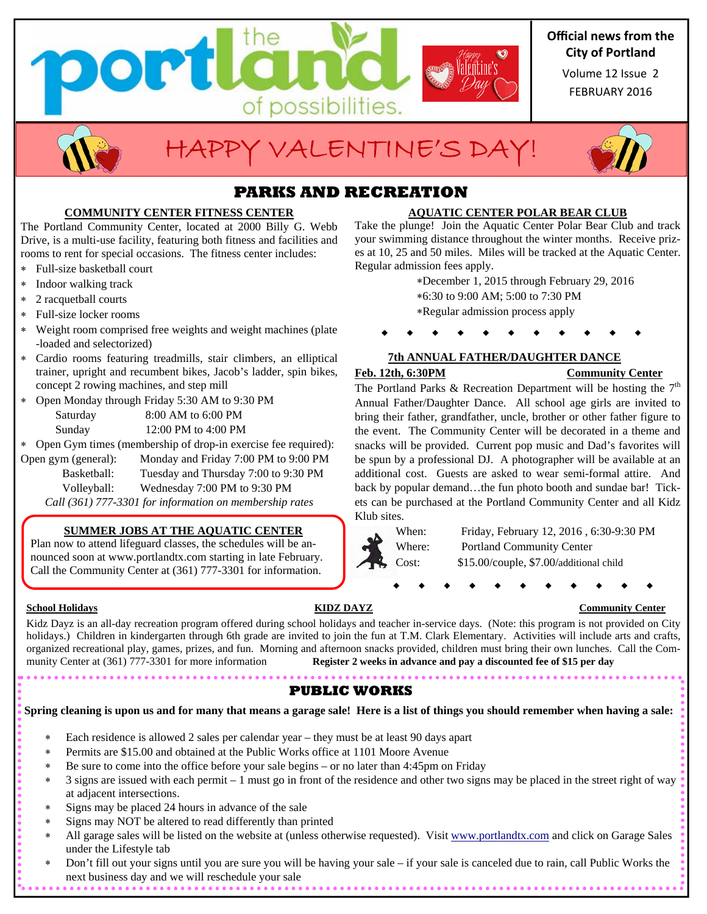

## **Official news from the City of Portland**

FEBRUARY 2016 Volume 12 Issue 2



# HAPPY VALENTINE'S DAY!



## **PARKS AND RECREATION**

### **COMMUNITY CENTER FITNESS CENTER**

The Portland Community Center, located at 2000 Billy G. Webb Drive, is a multi-use facility, featuring both fitness and facilities and rooms to rent for special occasions. The fitness center includes:

- Full-size basketball court
- Indoor walking track
- 2 racquetball courts
- Full-size locker rooms
- Weight room comprised free weights and weight machines (plate -loaded and selectorized)
- Cardio rooms featuring treadmills, stair climbers, an elliptical trainer, upright and recumbent bikes, Jacob's ladder, spin bikes, concept 2 rowing machines, and step mill
- Open Monday through Friday 5:30 AM to 9:30 PM Saturday 8:00 AM to 6:00 PM Sunday 12:00 PM to 4:00 PM
- Open Gym times (membership of drop-in exercise fee required):
- Open gym (general): Monday and Friday 7:00 PM to 9:00 PM Basketball: Tuesday and Thursday 7:00 to 9:30 PM Volleyball: Wednesday 7:00 PM to 9:30 PM

*Call (361) 777-3301 for information on membership rates* 

### **SUMMER JOBS AT THE AQUATIC CENTER**

Plan now to attend lifeguard classes, the schedules will be announced soon at www.portlandtx.com starting in late February. Call the Community Center at (361) 777-3301 for information.

Kidz Dayz is an all-day recreation program offered during school holidays and teacher in-service days. (Note: this program is not provided on City holidays.) Children in kindergarten through 6th grade are invited to join the fun at T.M. Clark Elementary. Activities will include arts and crafts, organized recreational play, games, prizes, and fun. Morning and afternoon snacks provided, children must bring their own lunches. Call the Community Center at (361) 777-3301 for more information **Register 2 weeks in advance and pay a discounted fee of \$15 per day** 

## **PUBLIC WORKS**

**Spring cleaning is upon us and for many that means a garage sale! Here is a list of things you should remember when having a sale:** 

- Each residence is allowed 2 sales per calendar year they must be at least 90 days apart
- Permits are \$15.00 and obtained at the Public Works office at 1101 Moore Avenue
- Be sure to come into the office before your sale begins or no later than 4:45pm on Friday
- 3 signs are issued with each permit 1 must go in front of the residence and other two signs may be placed in the street right of way at adjacent intersections.
- Signs may be placed 24 hours in advance of the sale
- Signs may NOT be altered to read differently than printed
- \* All garage sales will be listed on the website at (unless otherwise requested). Visit www.portlandtx.com and click on Garage Sales under the Lifestyle tab
- Don't fill out your signs until you are sure you will be having your sale if your sale is canceled due to rain, call Public Works the next business day and we will reschedule your sale

## **AQUATIC CENTER POLAR BEAR CLUB**

Take the plunge! Join the Aquatic Center Polar Bear Club and track your swimming distance throughout the winter months. Receive prizes at 10, 25 and 50 miles. Miles will be tracked at the Aquatic Center. Regular admission fees apply.

> December 1, 2015 through February 29, 2016 6:30 to 9:00 AM; 5:00 to 7:30 PM Regular admission process apply

### **7th ANNUAL FATHER/DAUGHTER DANCE Feb. 12th, 6:30PM Community Center**

The Portland Parks & Recreation Department will be hosting the  $7<sup>th</sup>$ Annual Father/Daughter Dance. All school age girls are invited to bring their father, grandfather, uncle, brother or other father figure to the event. The Community Center will be decorated in a theme and snacks will be provided. Current pop music and Dad's favorites will be spun by a professional DJ. A photographer will be available at an additional cost. Guests are asked to wear semi-formal attire. And back by popular demand…the fun photo booth and sundae bar! Tickets can be purchased at the Portland Community Center and all Kidz Klub sites.



When: Friday, February 12, 2016 , 6:30-9:30 PM Where: Portland Community Center Cost: \$15.00/couple, \$7.00/additional child

#### **School Holidays Community Center <b>KIDZ DAYZ Community Center Community Center**